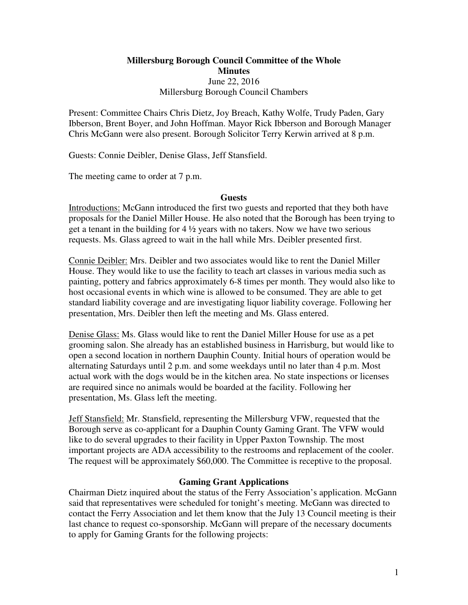### **Millersburg Borough Council Committee of the Whole Minutes**  June 22, 2016 Millersburg Borough Council Chambers

Present: Committee Chairs Chris Dietz, Joy Breach, Kathy Wolfe, Trudy Paden, Gary Ibberson, Brent Boyer, and John Hoffman. Mayor Rick Ibberson and Borough Manager Chris McGann were also present. Borough Solicitor Terry Kerwin arrived at 8 p.m.

Guests: Connie Deibler, Denise Glass, Jeff Stansfield.

The meeting came to order at 7 p.m.

#### **Guests**

Introductions: McGann introduced the first two guests and reported that they both have proposals for the Daniel Miller House. He also noted that the Borough has been trying to get a tenant in the building for  $4\frac{1}{2}$  years with no takers. Now we have two serious requests. Ms. Glass agreed to wait in the hall while Mrs. Deibler presented first.

Connie Deibler: Mrs. Deibler and two associates would like to rent the Daniel Miller House. They would like to use the facility to teach art classes in various media such as painting, pottery and fabrics approximately 6-8 times per month. They would also like to host occasional events in which wine is allowed to be consumed. They are able to get standard liability coverage and are investigating liquor liability coverage. Following her presentation, Mrs. Deibler then left the meeting and Ms. Glass entered.

Denise Glass: Ms. Glass would like to rent the Daniel Miller House for use as a pet grooming salon. She already has an established business in Harrisburg, but would like to open a second location in northern Dauphin County. Initial hours of operation would be alternating Saturdays until 2 p.m. and some weekdays until no later than 4 p.m. Most actual work with the dogs would be in the kitchen area. No state inspections or licenses are required since no animals would be boarded at the facility. Following her presentation, Ms. Glass left the meeting.

Jeff Stansfield: Mr. Stansfield, representing the Millersburg VFW, requested that the Borough serve as co-applicant for a Dauphin County Gaming Grant. The VFW would like to do several upgrades to their facility in Upper Paxton Township. The most important projects are ADA accessibility to the restrooms and replacement of the cooler. The request will be approximately \$60,000. The Committee is receptive to the proposal.

#### **Gaming Grant Applications**

Chairman Dietz inquired about the status of the Ferry Association's application. McGann said that representatives were scheduled for tonight's meeting. McGann was directed to contact the Ferry Association and let them know that the July 13 Council meeting is their last chance to request co-sponsorship. McGann will prepare of the necessary documents to apply for Gaming Grants for the following projects: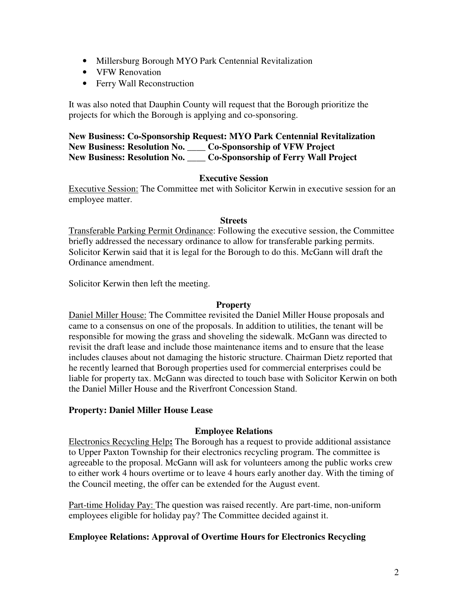- Millersburg Borough MYO Park Centennial Revitalization
- VFW Renovation
- Ferry Wall Reconstruction

It was also noted that Dauphin County will request that the Borough prioritize the projects for which the Borough is applying and co-sponsoring.

# **New Business: Co-Sponsorship Request: MYO Park Centennial Revitalization New Business: Resolution No. \_\_\_\_ Co-Sponsorship of VFW Project New Business: Resolution No. \_\_\_\_ Co-Sponsorship of Ferry Wall Project**

# **Executive Session**

Executive Session: The Committee met with Solicitor Kerwin in executive session for an employee matter.

#### **Streets**

Transferable Parking Permit Ordinance: Following the executive session, the Committee briefly addressed the necessary ordinance to allow for transferable parking permits. Solicitor Kerwin said that it is legal for the Borough to do this. McGann will draft the Ordinance amendment.

Solicitor Kerwin then left the meeting.

#### **Property**

Daniel Miller House: The Committee revisited the Daniel Miller House proposals and came to a consensus on one of the proposals. In addition to utilities, the tenant will be responsible for mowing the grass and shoveling the sidewalk. McGann was directed to revisit the draft lease and include those maintenance items and to ensure that the lease includes clauses about not damaging the historic structure. Chairman Dietz reported that he recently learned that Borough properties used for commercial enterprises could be liable for property tax. McGann was directed to touch base with Solicitor Kerwin on both the Daniel Miller House and the Riverfront Concession Stand.

#### **Property: Daniel Miller House Lease**

# **Employee Relations**

Electronics Recycling Help**:** The Borough has a request to provide additional assistance to Upper Paxton Township for their electronics recycling program. The committee is agreeable to the proposal. McGann will ask for volunteers among the public works crew to either work 4 hours overtime or to leave 4 hours early another day. With the timing of the Council meeting, the offer can be extended for the August event.

Part-time Holiday Pay: The question was raised recently. Are part-time, non-uniform employees eligible for holiday pay? The Committee decided against it.

# **Employee Relations: Approval of Overtime Hours for Electronics Recycling**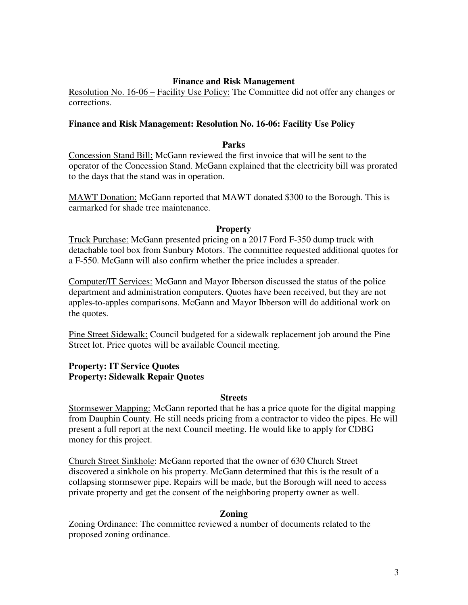### **Finance and Risk Management**

Resolution No. 16-06 – Facility Use Policy: The Committee did not offer any changes or corrections.

### **Finance and Risk Management: Resolution No. 16-06: Facility Use Policy**

#### **Parks**

Concession Stand Bill: McGann reviewed the first invoice that will be sent to the operator of the Concession Stand. McGann explained that the electricity bill was prorated to the days that the stand was in operation.

MAWT Donation: McGann reported that MAWT donated \$300 to the Borough. This is earmarked for shade tree maintenance.

#### **Property**

Truck Purchase: McGann presented pricing on a 2017 Ford F-350 dump truck with detachable tool box from Sunbury Motors. The committee requested additional quotes for a F-550. McGann will also confirm whether the price includes a spreader.

Computer/IT Services: McGann and Mayor Ibberson discussed the status of the police department and administration computers. Quotes have been received, but they are not apples-to-apples comparisons. McGann and Mayor Ibberson will do additional work on the quotes.

Pine Street Sidewalk: Council budgeted for a sidewalk replacement job around the Pine Street lot. Price quotes will be available Council meeting.

### **Property: IT Service Quotes Property: Sidewalk Repair Quotes**

#### **Streets**

Stormsewer Mapping: McGann reported that he has a price quote for the digital mapping from Dauphin County. He still needs pricing from a contractor to video the pipes. He will present a full report at the next Council meeting. He would like to apply for CDBG money for this project.

Church Street Sinkhole: McGann reported that the owner of 630 Church Street discovered a sinkhole on his property. McGann determined that this is the result of a collapsing stormsewer pipe. Repairs will be made, but the Borough will need to access private property and get the consent of the neighboring property owner as well.

#### **Zoning**

Zoning Ordinance: The committee reviewed a number of documents related to the proposed zoning ordinance.